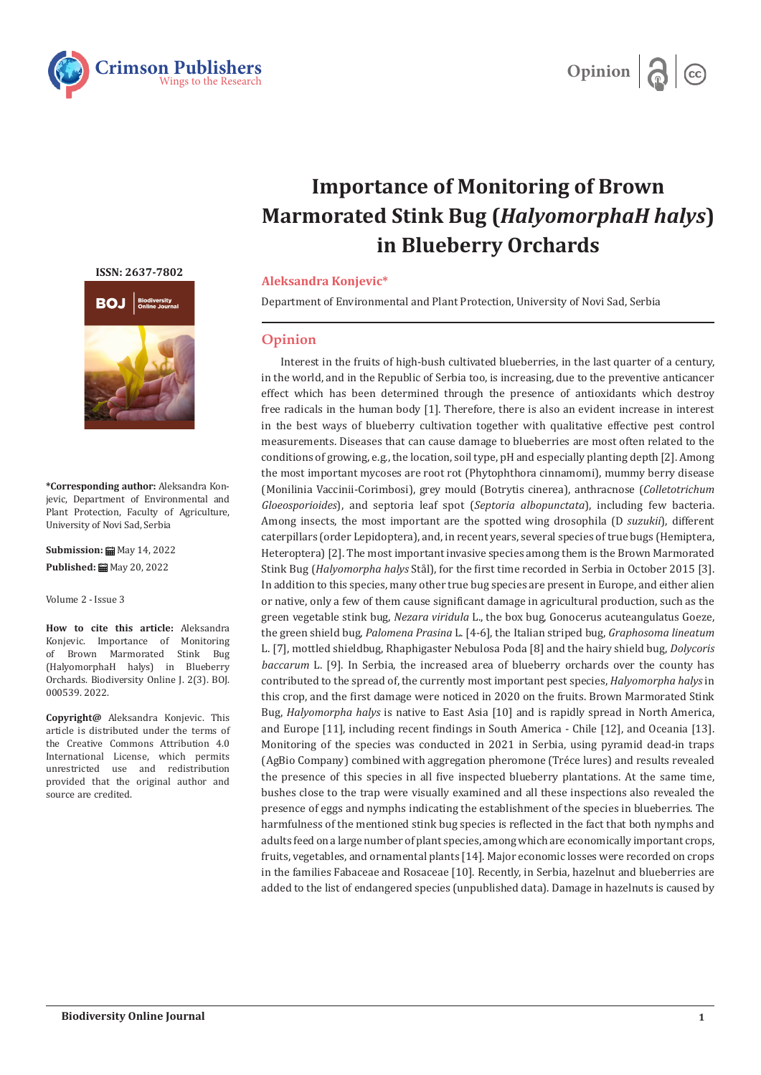



## **Importance of Monitoring of Brown Marmorated Stink Bug (***HalyomorphaH halys***) in Blueberry Orchards**

## **Aleksandra Konjevic\***

Department of Environmental and Plant Protection, University of Novi Sad, Serbia

## **Opinion**

Interest in the fruits of high-bush cultivated blueberries, in the last quarter of a century, in the world, and in the Republic of Serbia too, is increasing, due to the preventive anticancer effect which has been determined through the presence of antioxidants which destroy free radicals in the human body [1]. Therefore, there is also an evident increase in interest in the best ways of blueberry cultivation together with qualitative effective pest control measurements. Diseases that can cause damage to blueberries are most often related to the conditions of growing, e.g., the location, soil type, pH and especially planting depth [2]. Among the most important mycoses are root rot (Phytophthora cinnamomi), mummy berry disease (Monilinia Vaccinii-Corimbosi), grey mould (Botrytis cinerea), anthracnose (*Colletotrichum Gloeosporioides*), and septoria leaf spot (*Septoria albopunctata*), including few bacteria. Among insects, the most important are the spotted wing drosophila (D *suzukii*), different caterpillars (order Lepidoptera), and, in recent years, several species of true bugs (Hemiptera, Heteroptera) [2]. The most important invasive species among them is the Brown Marmorated Stink Bug (*Halyomorpha halys* Stål), for the first time recorded in Serbia in October 2015 [3]. In addition to this species, many other true bug species are present in Europe, and either alien or native, only a few of them cause significant damage in agricultural production, such as the green vegetable stink bug, *Nezara viridula* L., the box bug, Gonocerus acuteangulatus Goeze, the green shield bug, *Palomena Prasina* L. [4-6], the Italian striped bug, *Graphosoma lineatum*  L. [7], mottled shieldbug, Rhaphigaster Nebulosa Poda [8] and the hairy shield bug, *Dolycoris baccarum* L. [9]. In Serbia, the increased area of blueberry orchards over the county has contributed to the spread of, the currently most important pest species, *Halyomorpha halys* in this crop, and the first damage were noticed in 2020 on the fruits. Brown Marmorated Stink Bug, *Halyomorpha halys* is native to East Asia [10] and is rapidly spread in North America, and Europe [11], including recent findings in South America - Chile [12], and Oceania [13]. Monitoring of the species was conducted in 2021 in Serbia, using pyramid dead-in traps (AgBio Company) combined with aggregation pheromone (Tréce lures) and results revealed the presence of this species in all five inspected blueberry plantations. At the same time, bushes close to the trap were visually examined and all these inspections also revealed the presence of eggs and nymphs indicating the establishment of the species in blueberries. The harmfulness of the mentioned stink bug species is reflected in the fact that both nymphs and adults feed on a large number of plant species, among which are economically important crops, fruits, vegetables, and ornamental plants [14]. Major economic losses were recorded on crops in the families Fabaceae and Rosaceae [10]. Recently, in Serbia, hazelnut and blueberries are added to the list of endangered species (unpublished data). Damage in hazelnuts is caused by

**[ISSN: 2637-7802](https://crimsonpublishers.com/boj/)**



**\*Corresponding author:** Aleksandra Konjevic, Department of Environmental and Plant Protection, Faculty of Agriculture, University of Novi Sad, Serbia

**Submission: 曲** May 14, 2022 **Published:** ■ May 20, 2022

Volume 2 - Issue 3

**How to cite this article:** Aleksandra Konjevic. Importance of Monitoring<br>of Brown Marmorated Stink Bug Brown Marmorated Stink Bug (HalyomorphaH halys) in Blueberry Orchards. Biodiversity Online J. 2(3). BOJ. 000539. 2022.

**Copyright@** Aleksandra Konjevic. This article is distributed under the terms of the Creative Commons Attribution 4.0 International License, which permits unrestricted use and redistribution provided that the original author and source are credited.